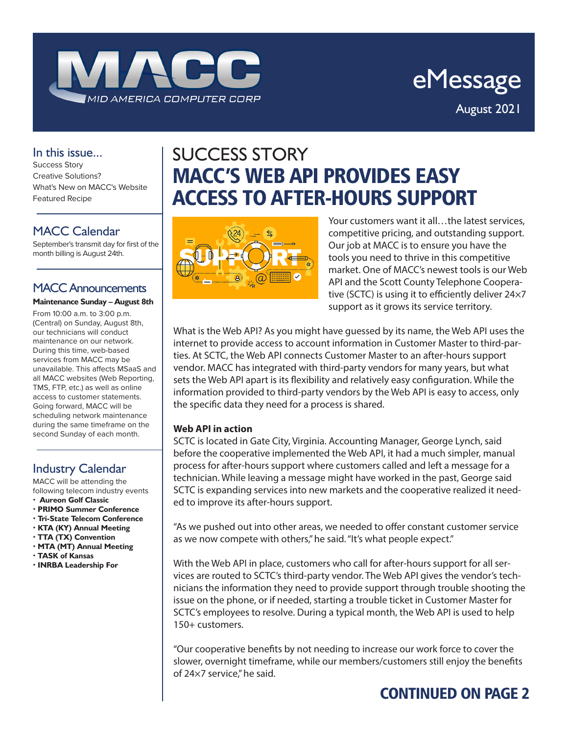

eMessage August 2021

#### In this issue...

Success Story Creative Solutions? What's New on MACC's Website Featured Recipe

#### MACC Calendar

September's transmit day for first of the month billing is August 24th.

## MACC Announcements

#### **Maintenance Sunday – August 8th**

From 10:00 a.m. to 3:00 p.m. (Central) on Sunday, August 8th, our technicians will conduct maintenance on our network. During this time, web-based services from MACC may be unavailable. This affects MSaaS and all MACC websites (Web Reporting, TMS, FTP, etc.) as well as online access to customer statements. Going forward, MACC will be scheduling network maintenance during the same timeframe on the second Sunday of each month.

#### Industry Calendar

MACC will be attending the following telecom industry events • **Aureon Golf Classic**

- **PRIMO Summer Conference**
- **Tri-State Telecom Conference**
- **KTA (KY) Annual Meeting**
- **TTA (TX) Convention**
- **MTA (MT) Annual Meeting**
- **TASK of Kansas**
- **INRBA Leadership For**

# SUCCESS STORY MACC'S WEB API PROVIDES EASY ACCESS TO AFTER-HOURS SUPPORT



Your customers want it all…the latest services, competitive pricing, and outstanding support. Our job at MACC is to ensure you have the tools you need to thrive in this competitive market. One of MACC's newest tools is our Web API and the Scott County Telephone Cooperative (SCTC) is using it to efficiently deliver 24×7 support as it grows its service territory.

What is the Web API? As you might have guessed by its name, the Web API uses the internet to provide access to account information in Customer Master to third-parties. At SCTC, the Web API connects Customer Master to an after-hours support vendor. MACC has integrated with third-party vendors for many years, but what sets the Web API apart is its flexibility and relatively easy configuration. While the information provided to third-party vendors by the Web API is easy to access, only the specific data they need for a process is shared.

#### **Web API in action**

SCTC is located in Gate City, Virginia. Accounting Manager, George Lynch, said before the cooperative implemented the Web API, it had a much simpler, manual process for after-hours support where customers called and left a message for a technician. While leaving a message might have worked in the past, George said SCTC is expanding services into new markets and the cooperative realized it needed to improve its after-hours support.

"As we pushed out into other areas, we needed to offer constant customer service as we now compete with others," he said. "It's what people expect."

With the Web API in place, customers who call for after-hours support for all services are routed to SCTC's third-party vendor. The Web API gives the vendor's technicians the information they need to provide support through trouble shooting the issue on the phone, or if needed, starting a trouble ticket in Customer Master for SCTC's employees to resolve. During a typical month, the Web API is used to help 150+ customers.

"Our cooperative benefits by not needing to increase our work force to cover the slower, overnight timeframe, while our members/customers still enjoy the benefits of 24×7 service," he said.

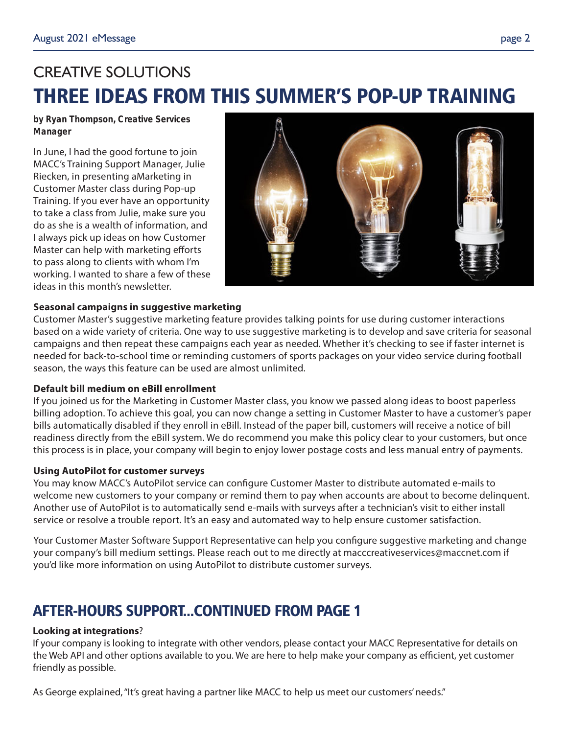# CREATIVE SOLUTIONS THREE IDEAS FROM THIS SUMMER'S POP-UP TRAINING

*by Ryan Thompson, Creative Services Manager*

In June, I had the good fortune to join MACC's Training Support Manager, Julie Riecken, in presenting aMarketing in Customer Master class during Pop-up Training. If you ever have an opportunity to take a class from Julie, make sure you do as she is a wealth of information, and I always pick up ideas on how Customer Master can help with marketing efforts to pass along to clients with whom I'm working. I wanted to share a few of these ideas in this month's newsletter.



#### **Seasonal campaigns in suggestive marketing**

Customer Master's suggestive marketing feature provides talking points for use during customer interactions based on a wide variety of criteria. One way to use suggestive marketing is to develop and save criteria for seasonal campaigns and then repeat these campaigns each year as needed. Whether it's checking to see if faster internet is needed for back-to-school time or reminding customers of sports packages on your video service during football season, the ways this feature can be used are almost unlimited.

#### **Default bill medium on eBill enrollment**

If you joined us for the Marketing in Customer Master class, you know we passed along ideas to boost paperless billing adoption. To achieve this goal, you can now change a setting in Customer Master to have a customer's paper bills automatically disabled if they enroll in eBill. Instead of the paper bill, customers will receive a notice of bill readiness directly from the eBill system. We do recommend you make this policy clear to your customers, but once this process is in place, your company will begin to enjoy lower postage costs and less manual entry of payments.

#### **Using AutoPilot for customer surveys**

You may know MACC's AutoPilot service can configure Customer Master to distribute automated e-mails to welcome new customers to your company or remind them to pay when accounts are about to become delinquent. Another use of AutoPilot is to automatically send e-mails with surveys after a technician's visit to either install service or resolve a trouble report. It's an easy and automated way to help ensure customer satisfaction.

Your Customer Master Software Support Representative can help you configure suggestive marketing and change your company's bill medium settings. Please reach out to me directly at macccreativeservices@maccnet.com if you'd like more information on using AutoPilot to distribute customer surveys.

## AFTER-HOURS SUPPORT...CONTINUED FROM PAGE 1

#### **Looking at integrations**?

If your company is looking to integrate with other vendors, please contact your MACC Representative for details on the Web API and other options available to you. We are here to help make your company as efficient, yet customer friendly as possible.

As George explained, "It's great having a partner like MACC to help us meet our customers' needs."